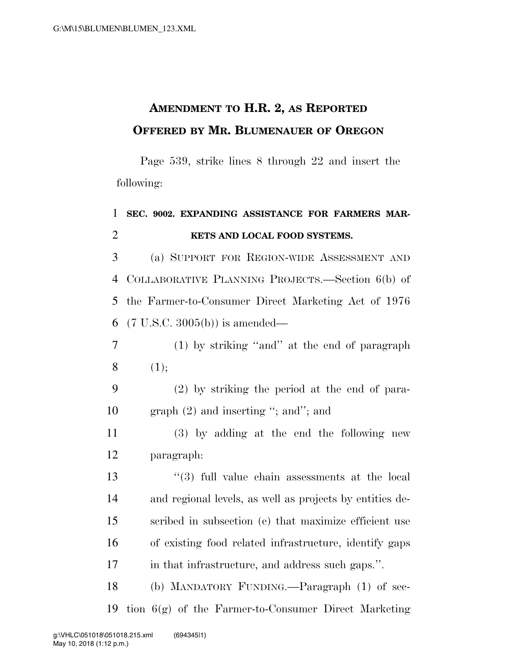## **AMENDMENT TO H.R. 2, AS REPORTED OFFERED BY MR. BLUMENAUER OF OREGON**

Page 539, strike lines 8 through 22 and insert the following:

## **SEC. 9002. EXPANDING ASSISTANCE FOR FARMERS MAR-KETS AND LOCAL FOOD SYSTEMS.**

 (a) SUPPORT FOR REGION-WIDE ASSESSMENT AND COLLABORATIVE PLANNING PROJECTS.—Section 6(b) of the Farmer-to-Consumer Direct Marketing Act of 1976 (7 U.S.C. 3005(b)) is amended—

 (1) by striking ''and'' at the end of paragraph  $8(1)$ ;

 (2) by striking the period at the end of para-graph (2) and inserting ''; and''; and

 (3) by adding at the end the following new paragraph:

 ''(3) full value chain assessments at the local and regional levels, as well as projects by entities de- scribed in subsection (c) that maximize efficient use of existing food related infrastructure, identify gaps in that infrastructure, and address such gaps.''.

 (b) MANDATORY FUNDING.—Paragraph (1) of sec-tion 6(g) of the Farmer-to-Consumer Direct Marketing